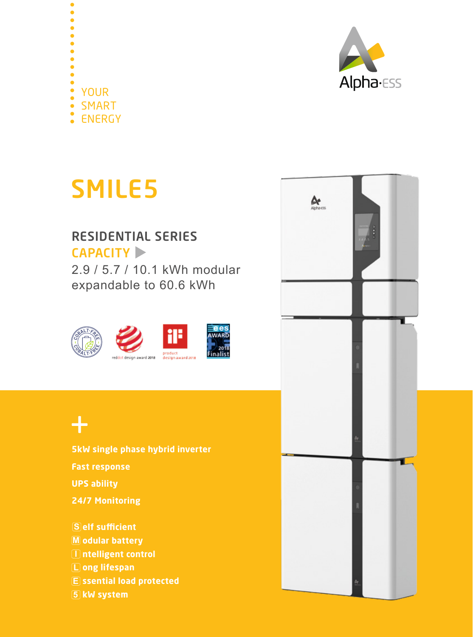

 $\bullet$ YOUR SMART ENERGY

# SMILE5

### CAPACITY RESIDENTIAL SERIES

2.9 / 5.7 / 10.1 kWh modular expandable to 60.6 kWh



## $+$

**5kW single phase hybrid inverter Fast response UPS ability 24/7 Monitoring S** elf sufficient

**M odular battery I ntelligent control L ong lifespan E ssential load protected 5 kW system**